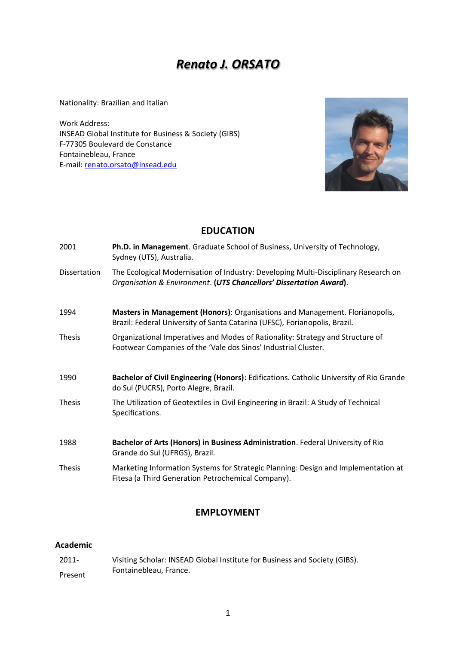# *Renato J. ORSATO*

Nationality: Brazilian and Italian

Work Address: INSEAD Global Institute for Business & Society (GIBS) F-77305 Boulevard de Constance Fontainebleau, France E-mail: [renato.orsato@insead.edu](mailto:renato.orsato@insead.edu)



# **EDUCATION**

| 2001          | Ph.D. in Management. Graduate School of Business, University of Technology,<br>Sydney (UTS), Australia.                                                    |
|---------------|------------------------------------------------------------------------------------------------------------------------------------------------------------|
| Dissertation  | The Ecological Modernisation of Industry: Developing Multi-Disciplinary Research on<br>Organisation & Environment. (UTS Chancellors' Dissertation Award).  |
| 1994          | Masters in Management (Honors): Organisations and Management. Florianopolis,<br>Brazil: Federal University of Santa Catarina (UFSC), Forianopolis, Brazil. |
| <b>Thesis</b> | Organizational Imperatives and Modes of Rationality: Strategy and Structure of<br>Footwear Companies of the 'Vale dos Sinos' Industrial Cluster.           |
| 1990          | Bachelor of Civil Engineering (Honors): Edifications. Catholic University of Rio Grande<br>do Sul (PUCRS), Porto Alegre, Brazil.                           |
| <b>Thesis</b> | The Utilization of Geotextiles in Civil Engineering in Brazil: A Study of Technical<br>Specifications.                                                     |
| 1988          | Bachelor of Arts (Honors) in Business Administration. Federal University of Rio<br>Grande do Sul (UFRGS), Brazil.                                          |
| <b>Thesis</b> | Marketing Information Systems for Strategic Planning: Design and Implementation at<br>Fitesa (a Third Generation Petrochemical Company).                   |

## **EMPLOYMENT**

### **Academic**

2011- Present Visiting Scholar: INSEAD Global Institute for Business and Society (GIBS). Fontainebleau, France.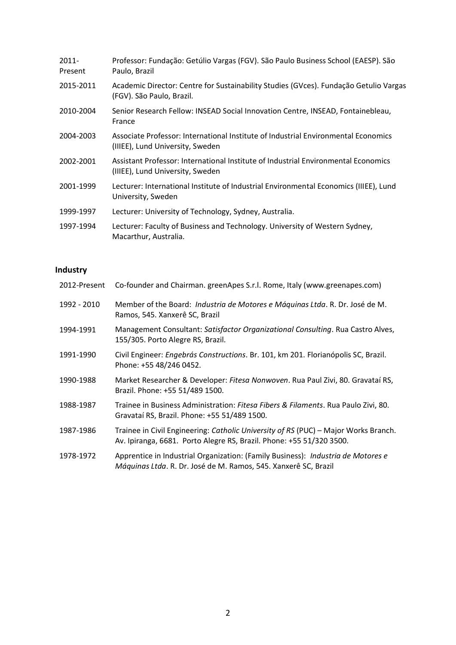| $2011 -$<br>Present | Professor: Fundação: Getúlio Vargas (FGV). São Paulo Business School (EAESP). São<br>Paulo, Brazil                     |
|---------------------|------------------------------------------------------------------------------------------------------------------------|
| 2015-2011           | Academic Director: Centre for Sustainability Studies (GVces). Fundação Getulio Vargas<br>(FGV). São Paulo, Brazil.     |
| 2010-2004           | Senior Research Fellow: INSEAD Social Innovation Centre, INSEAD, Fontainebleau,<br>France                              |
| 2004-2003           | Associate Professor: International Institute of Industrial Environmental Economics<br>(IIIEE), Lund University, Sweden |
| 2002-2001           | Assistant Professor: International Institute of Industrial Environmental Economics<br>(IIIEE), Lund University, Sweden |
| 2001-1999           | Lecturer: International Institute of Industrial Environmental Economics (IIIEE), Lund<br>University, Sweden            |
| 1999-1997           | Lecturer: University of Technology, Sydney, Australia.                                                                 |
| 1997-1994           | Lecturer: Faculty of Business and Technology. University of Western Sydney,<br>Macarthur, Australia.                   |

# **Industry**

| 2012-Present | Co-founder and Chairman. greenApes S.r.l. Rome, Italy (www.greenapes.com)                                                                                   |
|--------------|-------------------------------------------------------------------------------------------------------------------------------------------------------------|
| 1992 - 2010  | Member of the Board: Industria de Motores e Máquinas Ltda. R. Dr. José de M.<br>Ramos, 545. Xanxerê SC, Brazil                                              |
| 1994-1991    | Management Consultant: Satisfactor Organizational Consulting. Rua Castro Alves,<br>155/305. Porto Alegre RS, Brazil.                                        |
| 1991-1990    | Civil Engineer: Engebrás Constructions. Br. 101, km 201. Florianópolis SC, Brazil.<br>Phone: +55 48/246 0452.                                               |
| 1990-1988    | Market Researcher & Developer: Fitesa Nonwoven. Rua Paul Zivi, 80. Gravataí RS,<br>Brazil. Phone: +55 51/489 1500.                                          |
| 1988-1987    | Trainee in Business Administration: Fitesa Fibers & Filaments. Rua Paulo Zivi, 80.<br>Gravataí RS, Brazil. Phone: +55 51/489 1500.                          |
| 1987-1986    | Trainee in Civil Engineering: Catholic University of RS (PUC) - Major Works Branch.<br>Av. Ipiranga, 6681. Porto Alegre RS, Brazil. Phone: +55 51/320 3500. |
| 1978-1972    | Apprentice in Industrial Organization: (Family Business): Industria de Motores e<br>Máquinas Ltda. R. Dr. José de M. Ramos, 545. Xanxerê SC, Brazil         |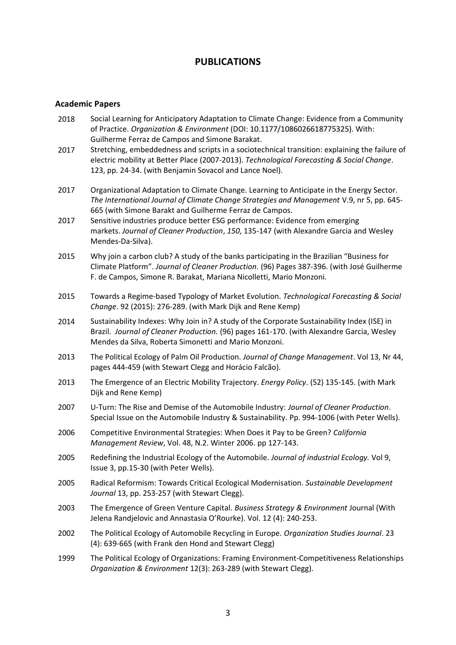### **PUBLICATIONS**

### **Academic Papers**

- 2018 Social Learning for Anticipatory Adaptation to Climate Change: Evidence from a Community of Practice. *Organization & Environment* (DOI: 10.1177/1086026618775325). With: Guilherme Ferraz de Campos and Simone Barakat.
- 2017 Stretching, embeddedness and scripts in a sociotechnical transition: explaining the failure of electric mobility at Better Place (2007-2013). *Technological Forecasting & Social Change*. 123, pp. 24-34. (with Benjamin Sovacol and Lance Noel).
- 2017 Organizational Adaptation to Climate Change. Learning to Anticipate in the Energy Sector. *The International Journal of Climate Change Strategies and Management* V.9, nr 5, pp. 645- 665 (with Simone Barakt and Guilherme Ferraz de Campos.
- 2017 Sensitive industries produce better ESG performance: Evidence from emerging markets. *Journal of Cleaner Production*, *150*, 135-147 (with Alexandre Garcia and Wesley Mendes-Da-Silva).
- 2015 Why join a carbon club? A study of the banks participating in the Brazilian "Business for Climate Platform". *Journal of Cleaner Production.* (96) Pages 387-396. (with José Guilherme F. de Campos, Simone R. Barakat, Mariana Nicolletti, Mario Monzoni.
- 2015 Towards a Regime-based Typology of Market Evolution. *Technological Forecasting & Social Change*. 92 (2015): 276-289. (with Mark Dijk and Rene Kemp)
- 2014 Sustainability Indexes: Why Join in? A study of the Corporate Sustainability Index (ISE) in Brazil. *Journal of Cleaner Production.* (96) pages 161-170. (with Alexandre Garcia, Wesley Mendes da Silva, Roberta Simonetti and Mario Monzoni.
- 2013 The Political Ecology of Palm Oil Production. *Journal of Change Management*. Vol 13, Nr 44, pages 444-459 (with Stewart Clegg and Horácio Falcão).
- 2013 The Emergence of an Electric Mobility Trajectory. *Energy Policy*. (52) 135-145. (with Mark Dijk and Rene Kemp)
- 2007 U-Turn: The Rise and Demise of the Automobile Industry: *Journal of Cleaner Production*. Special Issue on the Automobile Industry & Sustainability. Pp. 994-1006 (with Peter Wells).
- 2006 Competitive Environmental Strategies: When Does it Pay to be Green? *California Management Review*, Vol. 48, N.2. Winter 2006. pp 127-143.
- 2005 Redefining the Industrial Ecology of the Automobile. *Journal of industrial Ecology.* Vol 9, Issue 3, pp.15-30 (with Peter Wells).
- 2005 Radical Reformism: Towards Critical Ecological Modernisation. *Sustainable Development Journal* 13, pp. 253-257 (with Stewart Clegg).
- 2003 The Emergence of Green Venture Capital. *Business Strategy & Environment* Journal (With Jelena Randjelovic and Annastasia O'Rourke). Vol. 12 (4): 240-253.
- 2002 The Political Ecology of Automobile Recycling in Europe. *Organization Studies Journal*. 23 (4): 639-665 (with Frank den Hond and Stewart Clegg)
- 1999 The Political Ecology of Organizations: Framing Environment-Competitiveness Relationships *Organization & Environment* 12(3): 263-289 (with Stewart Clegg).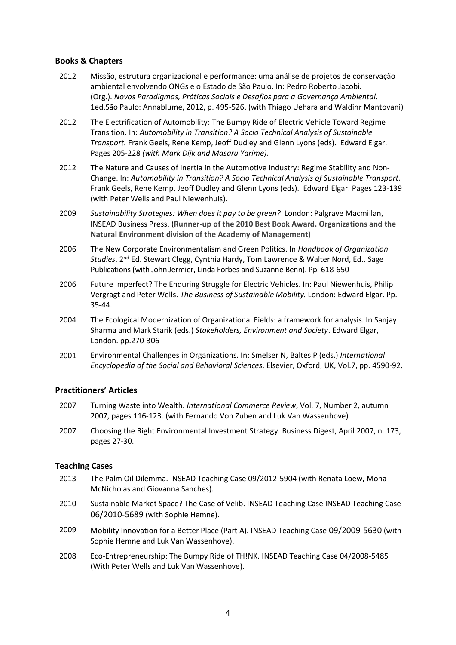### **Books & Chapters**

- 2012 Missão, estrutura organizacional e performance: uma análise de projetos de conservação ambiental envolvendo ONGs e o Estado de São Paulo. In: Pedro Roberto Jacobi. (Org.). *Novos Paradigmas, Práticas Sociais e Desafios para a Governança Ambiental*. 1ed.São Paulo: Annablume, 2012, p. 495-526. (with Thiago Uehara and Waldinr Mantovani)
- 2012 The Electrification of Automobility: The Bumpy Ride of Electric Vehicle Toward Regime Transition. In: *Automobility in Transition? A Socio Technical Analysis of Sustainable Transport.* Frank Geels, Rene Kemp, Jeoff Dudley and Glenn Lyons (eds).Edward Elgar. Pages 205-228 *(with Mark Dijk and Masaru Yarime).*
- 2012 The Nature and Causes of Inertia in the Automotive Industry: Regime Stability and Non-Change. In: *Automobility in Transition? A Socio Technical Analysis of Sustainable Transport.*  Frank Geels, Rene Kemp, Jeoff Dudley and Glenn Lyons (eds).Edward Elgar. Pages 123-139 (with Peter Wells and Paul Niewenhuis).
- 2009 *Sustainability Strategies: When does it pay to be green?* London: Palgrave Macmillan, INSEAD Business Press. (**Runner-up of the 2010 Best Book Award. Organizations and the Natural Environment division of the Academy of Management)**
- 2006 The New Corporate Environmentalism and Green Politics. In *Handbook of Organization Studies*, 2nd Ed. Stewart Clegg, Cynthia Hardy, Tom Lawrence & Walter Nord, Ed., Sage Publications (with John Jermier, Linda Forbes and Suzanne Benn). Pp. 618-650
- 2006 Future Imperfect? The Enduring Struggle for Electric Vehicles. In: Paul Niewenhuis, Philip Vergragt and Peter Wells. *The Business of Sustainable Mobility.* London: Edward Elgar. Pp. 35-44.
- 2004 The Ecological Modernization of Organizational Fields: a framework for analysis. In Sanjay Sharma and Mark Starik (eds.) *Stakeholders, Environment and Society*. Edward Elgar, London. pp.270-306
- 2001 Environmental Challenges in Organizations. In: Smelser N, Baltes P (eds.) *International Encyclopedia of the Social and Behavioral Sciences*. Elsevier, Oxford, UK, Vol.7, pp. 4590-92.

### **Practitioners' Articles**

- 2007 Turning Waste into Wealth. *International Commerce Review*, Vol. 7, Number 2, autumn 2007, pages 116-123. (with Fernando Von Zuben and Luk Van Wassenhove)
- 2007 Choosing the Right Environmental Investment Strategy. Business Digest, April 2007, n. 173, pages 27-30.

### **Teaching Cases**

- 2013 The Palm Oil Dilemma. INSEAD Teaching Case 09/2012-5904 (with Renata Loew, Mona McNicholas and Giovanna Sanches).
- 2010 Sustainable Market Space? The Case of Velib. INSEAD Teaching Case INSEAD Teaching Case 06/2010-5689 (with Sophie Hemne).
- 2009 Mobility Innovation for a Better Place (Part A). INSEAD Teaching Case 09/2009-5630 (with Sophie Hemne and Luk Van Wassenhove).
- 2008 Eco-Entrepreneurship: The Bumpy Ride of TH!NK. INSEAD Teaching Case 04/2008-5485 (With Peter Wells and Luk Van Wassenhove).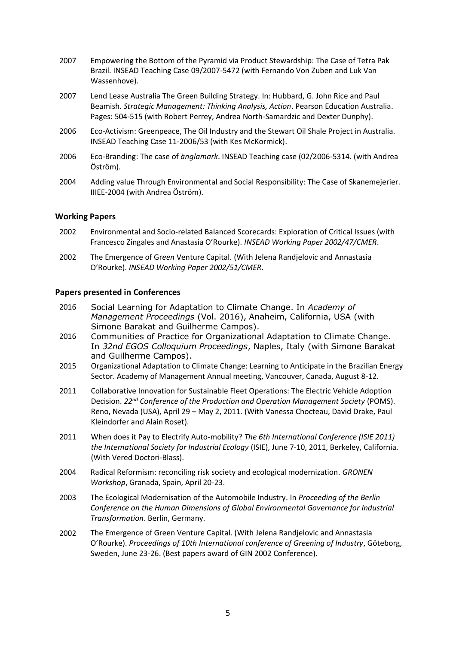- 2007 Empowering the Bottom of the Pyramid via Product Stewardship: The Case of Tetra Pak Brazil. INSEAD Teaching Case 09/2007-5472 (with Fernando Von Zuben and Luk Van Wassenhove).
- 2007 Lend Lease Australia The Green Building Strategy. In: Hubbard, G. John Rice and Paul Beamish. *Strategic Management: Thinking Analysis, Action*. Pearson Education Australia. Pages: 504-515 (with Robert Perrey, Andrea North-Samardzic and Dexter Dunphy).
- 2006 Eco-Activism: Greenpeace, The Oil Industry and the Stewart Oil Shale Project in Australia. INSEAD Teaching Case 11-2006/53 (with Kes McKormick).
- 2006 Eco-Branding: The case of *änglamark*. INSEAD Teaching case (02/2006-5314. (with Andrea Öström).
- 2004 Adding value Through Environmental and Social Responsibility: The Case of Skanemejerier. IIIEE-2004 (with Andrea Öström).

### **Working Papers**

- 2002 Environmental and Socio-related Balanced Scorecards: Exploration of Critical Issues (with Francesco Zingales and Anastasia O'Rourke). *INSEAD Working Paper 2002/47/CMER*.
- 2002 The Emergence of Gr*een* Venture Capital. (With Jelena Randjelovic and Annastasia O'Rourke). *INSEAD Working Paper 2002/51/CMER*.

### **Papers presented in Conferences**

- 2016 Social Learning for Adaptation to Climate Change. In *Academy of Management Proceedings* (Vol. 2016), Anaheim, California, USA (with Simone Barakat and Guilherme Campos).
- 2016 Communities of Practice for Organizational Adaptation to Climate Change. In *32nd EGOS Colloquium Proceedings*, Naples, Italy (with Simone Barakat and Guilherme Campos).
- 2015 Organizational Adaptation to Climate Change: Learning to Anticipate in the Brazilian Energy Sector. Academy of Management Annual meeting, Vancouver, Canada, August 8-12.
- 2011 Collaborative Innovation for Sustainable Fleet Operations: The Electric Vehicle Adoption Decision. *22nd Conference of the Production and Operation Management Society* (POMS). Reno, Nevada (USA), April 29 – May 2, 2011. (With Vanessa Chocteau, David Drake, Paul Kleindorfer and Alain Roset).
- 2011 When does it Pay to Electrify Auto-mobility? *The 6th International Conference (ISIE 2011) the International Society for Industrial Ecology* (ISIE), June 7-10, 2011, Berkeley, California. (With Vered Doctori-Blass).
- 2004 Radical Reformism: reconciling risk society and ecological modernization. *GRONEN Workshop*, Granada, Spain, April 20-23.
- 2003 The Ecological Modernisation of the Automobile Industry. In *Proceeding of the Berlin Conference on the Human Dimensions of Global Environmental Governance for Industrial Transformation*. Berlin, Germany.
- 2002 The Emergence of Green Venture Capital. (With Jelena Randjelovic and Annastasia O'Rourke). *Proceedings of 10th International conference of Greening of Industry*, Göteborg, Sweden, June 23-26. (Best papers award of GIN 2002 Conference).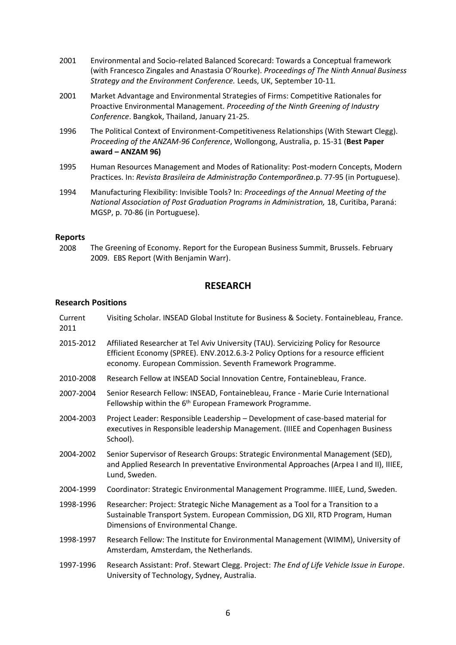- 2001 Environmental and Socio-related Balanced Scorecard: Towards a Conceptual framework (with Francesco Zingales and Anastasia O'Rourke). *Proceedings of The Ninth Annual Business Strategy and the Environment Conference.* Leeds, UK, September 10-11*.*
- 2001 Market Advantage and Environmental Strategies of Firms: Competitive Rationales for Proactive Environmental Management. *Proceeding of the Ninth Greening of Industry Conference*. Bangkok, Thailand, January 21-25.
- 1996 The Political Context of Environment-Competitiveness Relationships (With Stewart Clegg). *Proceeding of the ANZAM-96 Conference*, Wollongong, Australia, p. 15-31 (**Best Paper award – ANZAM 96)**
- 1995 Human Resources Management and Modes of Rationality: Post-modern Concepts, Modern Practices. In: *Revista Brasileira de Administração Contemporãnea*.p. 77-95 (in Portuguese).
- 1994 Manufacturing Flexibility: Invisible Tools? In: *Proceedings of the Annual Meeting of the National Association of Post Graduation Programs in Administration,* 18, Curitiba, Paraná: MGSP, p. 70-86 (in Portuguese).

### **Reports**

2008 The Greening of Economy. Report for the European Business Summit, Brussels. February 2009. EBS Report (With Benjamin Warr).

### **RESEARCH**

#### **Research Positions**

| Current<br>2011 | Visiting Scholar. INSEAD Global Institute for Business & Society. Fontainebleau, France.                                                                                                                                               |
|-----------------|----------------------------------------------------------------------------------------------------------------------------------------------------------------------------------------------------------------------------------------|
| 2015-2012       | Affiliated Researcher at Tel Aviv University (TAU). Servicizing Policy for Resource<br>Efficient Economy (SPREE). ENV.2012.6.3-2 Policy Options for a resource efficient<br>economy. European Commission. Seventh Framework Programme. |
| 2010-2008       | Research Fellow at INSEAD Social Innovation Centre, Fontainebleau, France.                                                                                                                                                             |
| 2007-2004       | Senior Research Fellow: INSEAD, Fontainebleau, France - Marie Curie International<br>Fellowship within the 6 <sup>th</sup> European Framework Programme.                                                                               |
| 2004-2003       | Project Leader: Responsible Leadership - Development of case-based material for<br>executives in Responsible leadership Management. (IIIEE and Copenhagen Business<br>School).                                                         |
| 2004-2002       | Senior Supervisor of Research Groups: Strategic Environmental Management (SED),<br>and Applied Research In preventative Environmental Approaches (Arpea I and II), IIIEE,<br>Lund, Sweden.                                             |
| 2004-1999       | Coordinator: Strategic Environmental Management Programme. IIIEE, Lund, Sweden.                                                                                                                                                        |
| 1998-1996       | Researcher: Project: Strategic Niche Management as a Tool for a Transition to a<br>Sustainable Transport System. European Commission, DG XII, RTD Program, Human<br>Dimensions of Environmental Change.                                |
| 1998-1997       | Research Fellow: The Institute for Environmental Management (WIMM), University of<br>Amsterdam, Amsterdam, the Netherlands.                                                                                                            |
| 1997-1996       | Research Assistant: Prof. Stewart Clegg. Project: The End of Life Vehicle Issue in Europe.<br>University of Technology, Sydney, Australia.                                                                                             |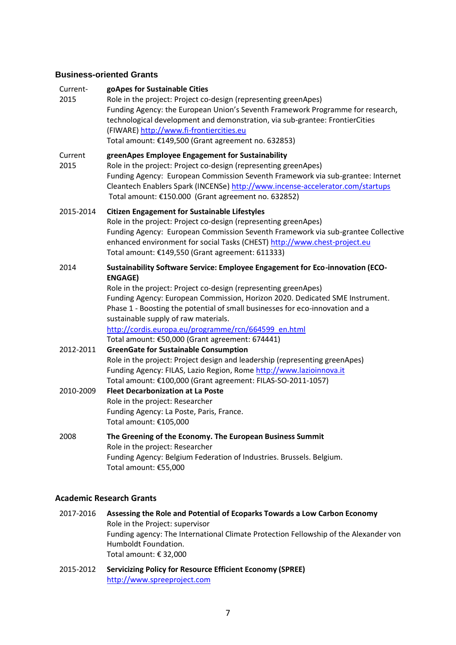### **Business-oriented Grants**

| Current-<br>2015 | goApes for Sustainable Cities<br>Role in the project: Project co-design (representing greenApes)<br>Funding Agency: the European Union's Seventh Framework Programme for research,<br>technological development and demonstration, via sub-grantee: FrontierCities<br>(FIWARE) http://www.fi-frontiercities.eu<br>Total amount: €149,500 (Grant agreement no. 632853)                                                                                                                  |
|------------------|----------------------------------------------------------------------------------------------------------------------------------------------------------------------------------------------------------------------------------------------------------------------------------------------------------------------------------------------------------------------------------------------------------------------------------------------------------------------------------------|
| Current<br>2015  | greenApes Employee Engagement for Sustainability<br>Role in the project: Project co-design (representing greenApes)<br>Funding Agency: European Commission Seventh Framework via sub-grantee: Internet<br>Cleantech Enablers Spark (INCENSe) http://www.incense-accelerator.com/startups<br>Total amount: €150.000 (Grant agreement no. 632852)                                                                                                                                        |
| 2015-2014        | <b>Citizen Engagement for Sustainable Lifestyles</b><br>Role in the project: Project co-design (representing greenApes)<br>Funding Agency: European Commission Seventh Framework via sub-grantee Collective<br>enhanced environment for social Tasks (CHEST) http://www.chest-project.eu<br>Total amount: €149,550 (Grant agreement: 611333)                                                                                                                                           |
| 2014             | Sustainability Software Service: Employee Engagement for Eco-innovation (ECO-<br><b>ENGAGE)</b><br>Role in the project: Project co-design (representing greenApes)<br>Funding Agency: European Commission, Horizon 2020. Dedicated SME Instrument.<br>Phase 1 - Boosting the potential of small businesses for eco-innovation and a<br>sustainable supply of raw materials.<br>http://cordis.europa.eu/programme/rcn/664599 en.html<br>Total amount: €50,000 (Grant agreement: 674441) |
| 2012-2011        | <b>GreenGate for Sustainable Consumption</b><br>Role in the project: Project design and leadership (representing greenApes)<br>Funding Agency: FILAS, Lazio Region, Rome http://www.lazioinnova.it<br>Total amount: €100,000 (Grant agreement: FILAS-SO-2011-1057)                                                                                                                                                                                                                     |
| 2010-2009        | <b>Fleet Decarbonization at La Poste</b><br>Role in the project: Researcher<br>Funding Agency: La Poste, Paris, France.<br>Total amount: €105,000                                                                                                                                                                                                                                                                                                                                      |
| 2008             | The Greening of the Economy. The European Business Summit<br>Role in the project: Researcher<br>Funding Agency: Belgium Federation of Industries. Brussels. Belgium.<br>Total amount: €55,000                                                                                                                                                                                                                                                                                          |

### **Academic Research Grants**

- 2017-2016 **Assessing the Role and Potential of Ecoparks Towards a Low Carbon Economy** Role in the Project: supervisor Funding agency: The International Climate Protection Fellowship of the Alexander von Humboldt Foundation. Total amount: € 32,000
- 2015-2012 **Servicizing Policy for Resource Efficient Economy (SPREE)** [http://www.spreeproject.com](http://www.spreeproject.com/)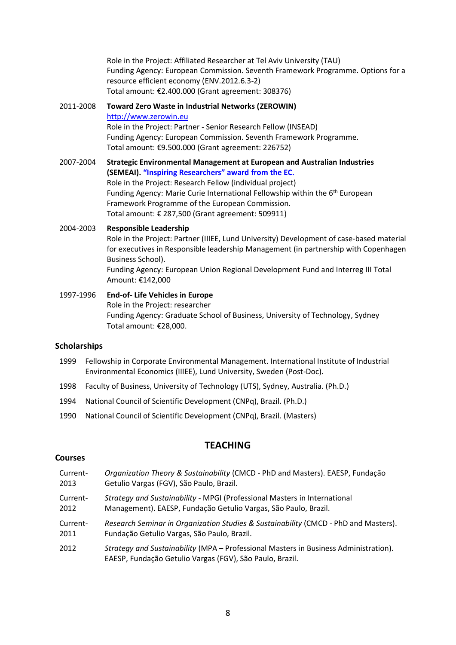Role in the Project: Affiliated Researcher at Tel Aviv University (TAU) Funding Agency: European Commission. Seventh Framework Programme. Options for a resource efficient economy (ENV.2012.6.3-2) Total amount: €2.400.000 (Grant agreement: 308376)

2011-2008 **Toward Zero Waste in Industrial Networks (ZEROWIN)** [http://www.zerowin.eu](http://www.zerowin.eu/) Role in the Project: Partner - Senior Research Fellow (INSEAD) Funding Agency: European Commission. Seventh Framework Programme. Total amount: €9.500.000 (Grant agreement: 226752)

2007-2004 **Strategic Environmental Management at European and Australian Industries (SEMEAI). "Inspiring Researchers" award from the EC.** Role in the Project: Research Fellow (individual project) Funding Agency: Marie Curie International Fellowship within the 6<sup>th</sup> European Framework Programme of the European Commission. Total amount: € 287,500 (Grant agreement: 509911)

### 2004-2003 **Responsible Leadership** Role in the Project: Partner (IIIEE, Lund University) Development of case-based material for executives in Responsible leadership Management (in partnership with Copenhagen Business School). Funding Agency: European Union Regional Development Fund and Interreg III Total Amount: €142,000

1997-1996 **End-of- Life Vehicles in Europe** Role in the Project: researcher Funding Agency: Graduate School of Business, University of Technology, Sydney Total amount: €28,000.

### **Scholarships**

- 1999 Fellowship in Corporate Environmental Management. International Institute of Industrial Environmental Economics (IIIEE), Lund University, Sweden (Post-Doc).
- 1998 Faculty of Business, University of Technology (UTS), Sydney, Australia. (Ph.D.)
- 1994 National Council of Scientific Development (CNPq), Brazil. (Ph.D.)
- 1990 National Council of Scientific Development (CNPq), Brazil. (Masters)

### **TEACHING**

### **Courses**

Current-2013 *Organization Theory & Sustainability* (CMCD - PhD and Masters). EAESP, Fundação Getulio Vargas (FGV), São Paulo, Brazil. Current-2012 *Strategy and Sustainability* - MPGI (Professional Masters in International Management). EAESP, Fundação Getulio Vargas, São Paulo, Brazil. Current-2011 *Research Seminar in Organization Studies & Sustainability* (CMCD - PhD and Masters). Fundação Getulio Vargas, São Paulo, Brazil. 2012 *Strategy and Sustainability* (MPA – Professional Masters in Business Administration). EAESP, Fundação Getulio Vargas (FGV), São Paulo, Brazil.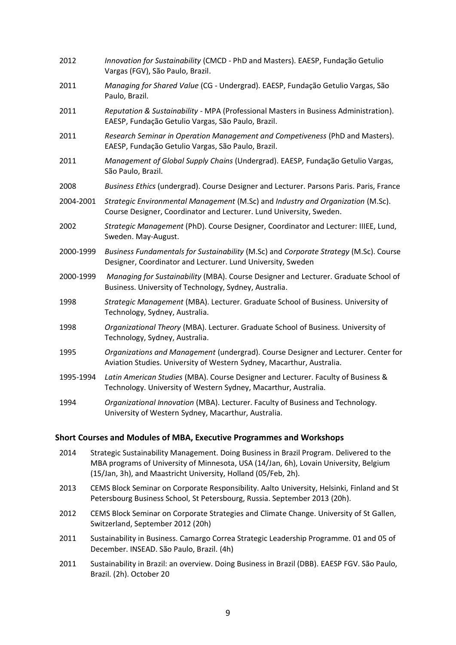| 2012      | Innovation for Sustainability (CMCD - PhD and Masters). EAESP, Fundação Getulio<br>Vargas (FGV), São Paulo, Brazil.                                         |
|-----------|-------------------------------------------------------------------------------------------------------------------------------------------------------------|
| 2011      | Managing for Shared Value (CG - Undergrad). EAESP, Fundação Getulio Vargas, São<br>Paulo, Brazil.                                                           |
| 2011      | Reputation & Sustainability - MPA (Professional Masters in Business Administration).<br>EAESP, Fundação Getulio Vargas, São Paulo, Brazil.                  |
| 2011      | Research Seminar in Operation Management and Competiveness (PhD and Masters).<br>EAESP, Fundação Getulio Vargas, São Paulo, Brazil.                         |
| 2011      | Management of Global Supply Chains (Undergrad). EAESP, Fundação Getulio Vargas,<br>São Paulo, Brazil.                                                       |
| 2008      | Business Ethics (undergrad). Course Designer and Lecturer. Parsons Paris. Paris, France                                                                     |
| 2004-2001 | Strategic Environmental Management (M.Sc) and Industry and Organization (M.Sc).<br>Course Designer, Coordinator and Lecturer. Lund University, Sweden.      |
| 2002      | Strategic Management (PhD). Course Designer, Coordinator and Lecturer: IIIEE, Lund,<br>Sweden. May-August.                                                  |
| 2000-1999 | Business Fundamentals for Sustainability (M.Sc) and Corporate Strategy (M.Sc). Course<br>Designer, Coordinator and Lecturer. Lund University, Sweden        |
| 2000-1999 | Managing for Sustainability (MBA). Course Designer and Lecturer. Graduate School of<br>Business. University of Technology, Sydney, Australia.               |
| 1998      | Strategic Management (MBA). Lecturer. Graduate School of Business. University of<br>Technology, Sydney, Australia.                                          |
| 1998      | Organizational Theory (MBA). Lecturer. Graduate School of Business. University of<br>Technology, Sydney, Australia.                                         |
| 1995      | Organizations and Management (undergrad). Course Designer and Lecturer. Center for<br>Aviation Studies. University of Western Sydney, Macarthur, Australia. |
| 1995-1994 | Latin American Studies (MBA). Course Designer and Lecturer. Faculty of Business &<br>Technology. University of Western Sydney, Macarthur, Australia.        |
| 1994      | Organizational Innovation (MBA). Lecturer. Faculty of Business and Technology.<br>University of Western Sydney, Macarthur, Australia.                       |

### **Short Courses and Modules of MBA, Executive Programmes and Workshops**

- 2014 Strategic Sustainability Management. Doing Business in Brazil Program. Delivered to the MBA programs of University of Minnesota, USA (14/Jan, 6h), Lovain University, Belgium (15/Jan, 3h), and Maastricht University, Holland (05/Feb, 2h).
- 2013 CEMS Block Seminar on Corporate Responsibility. Aalto University, Helsinki, Finland and St Petersbourg Business School, St Petersbourg, Russia. September 2013 (20h).
- 2012 CEMS Block Seminar on Corporate Strategies and Climate Change. University of St Gallen, Switzerland, September 2012 (20h)
- 2011 Sustainability in Business. Camargo Correa Strategic Leadership Programme. 01 and 05 of December. INSEAD. São Paulo, Brazil. (4h)
- 2011 Sustainability in Brazil: an overview. Doing Business in Brazil (DBB). EAESP FGV. São Paulo, Brazil. (2h). October 20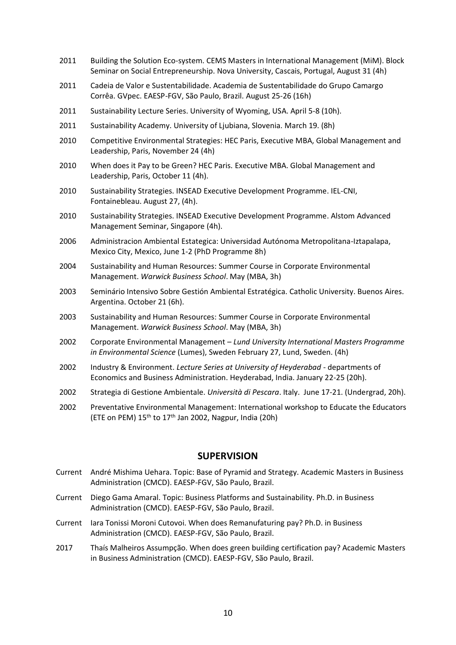- 2011 Building the Solution Eco-system. CEMS Masters in International Management (MiM). Block Seminar on Social Entrepreneurship. Nova University, Cascais, Portugal, August 31 (4h)
- 2011 Cadeia de Valor e Sustentabilidade. Academia de Sustentabilidade do Grupo Camargo Corrêa. GVpec. EAESP-FGV, São Paulo, Brazil. August 25-26 (16h)
- 2011 Sustainability Lecture Series. University of Wyoming, USA. April 5-8 (10h).
- 2011 Sustainability Academy. University of Ljubiana, Slovenia. March 19. (8h)
- 2010 Competitive Environmental Strategies: HEC Paris, Executive MBA, Global Management and Leadership, Paris, November 24 (4h)
- 2010 When does it Pay to be Green? HEC Paris. Executive MBA. Global Management and Leadership, Paris, October 11 (4h).
- 2010 Sustainability Strategies. INSEAD Executive Development Programme. IEL-CNI, Fontainebleau. August 27, (4h).
- 2010 Sustainability Strategies. INSEAD Executive Development Programme. Alstom Advanced Management Seminar, Singapore (4h).
- 2006 Administracion Ambiental Estategica: Universidad Autónoma Metropolitana-Iztapalapa, Mexico City, Mexico, June 1-2 (PhD Programme 8h)
- 2004 Sustainability and Human Resources: Summer Course in Corporate Environmental Management. *Warwick Business School*. May (MBA, 3h)
- 2003 Seminário Intensivo Sobre Gestión Ambiental Estratégica. Catholic University. Buenos Aires. Argentina. October 21 (6h).
- 2003 Sustainability and Human Resources: Summer Course in Corporate Environmental Management. *Warwick Business School*. May (MBA, 3h)
- 2002 Corporate Environmental Management *Lund University International Masters Programme in Environmental Science* (Lumes), Sweden February 27, Lund, Sweden. (4h)
- 2002 Industry & Environment. *Lecture Series at University of Heyderabad* departments of Economics and Business Administration. Heyderabad, India. January 22-25 (20h).
- 2002 Strategia di Gestione Ambientale. *Università di Pescara*. Italy. June 17-21. (Undergrad, 20h).
- 2002 Preventative Environmental Management: International workshop to Educate the Educators (ETE on PEM)  $15<sup>th</sup>$  to  $17<sup>th</sup>$  Jan 2002, Nagpur, India (20h)

### **SUPERVISION**

- Current André Mishima Uehara. Topic: Base of Pyramid and Strategy. Academic Masters in Business Administration (CMCD). EAESP-FGV, São Paulo, Brazil.
- Current Diego Gama Amaral. Topic: Business Platforms and Sustainability. Ph.D. in Business Administration (CMCD). EAESP-FGV, São Paulo, Brazil.
- Current Iara Tonissi Moroni Cutovoi. When does Remanufaturing pay? Ph.D. in Business Administration (CMCD). EAESP-FGV, São Paulo, Brazil.
- 2017 Thaís Malheiros Assumpção. When does green building certification pay? Academic Masters in Business Administration (CMCD). EAESP-FGV, São Paulo, Brazil.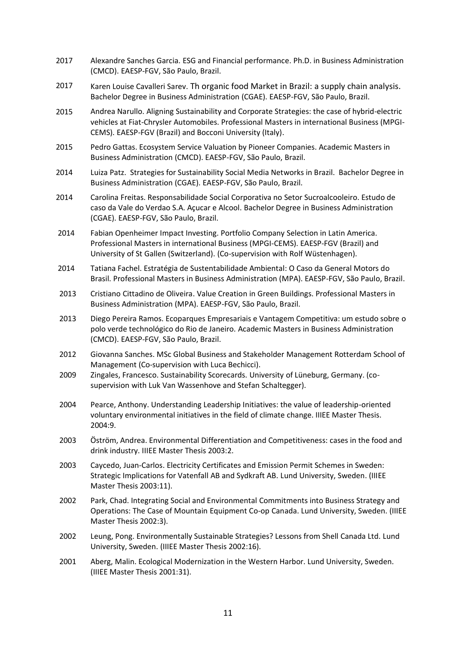- 2017 Alexandre Sanches Garcia. ESG and Financial performance. Ph.D. in Business Administration (CMCD). EAESP-FGV, São Paulo, Brazil.
- 2017 Karen Louise Cavalleri Sarev. Th organic food Market in Brazil: a supply chain analysis. Bachelor Degree in Business Administration (CGAE). EAESP-FGV, São Paulo, Brazil.
- 2015 Andrea Narullo. Aligning Sustainability and Corporate Strategies: the case of hybrid-electric vehicles at Fiat-Chrysler Automobiles. Professional Masters in international Business (MPGI-CEMS). EAESP-FGV (Brazil) and Bocconi University (Italy).
- 2015 Pedro Gattas. Ecosystem Service Valuation by Pioneer Companies. Academic Masters in Business Administration (CMCD). EAESP-FGV, São Paulo, Brazil.
- 2014 Luiza Patz. Strategies for Sustainability Social Media Networks in Brazil. Bachelor Degree in Business Administration (CGAE). EAESP-FGV, São Paulo, Brazil.
- 2014 Carolina Freitas. Responsabilidade Social Corporativa no Setor Sucroalcooleiro. Estudo de caso da Vale do Verdao S.A. Açucar e Alcool. Bachelor Degree in Business Administration (CGAE). EAESP-FGV, São Paulo, Brazil.
- 2014 Fabian Openheimer Impact Investing. Portfolio Company Selection in Latin America. Professional Masters in international Business (MPGI-CEMS). EAESP-FGV (Brazil) and University of St Gallen (Switzerland). (Co-supervision with Rolf Wüstenhagen).
- 2014 Tatiana Fachel. Estratégia de Sustentabilidade Ambiental: O Caso da General Motors do Brasil. Professional Masters in Business Administration (MPA). EAESP-FGV, São Paulo, Brazil.
- 2013 Cristiano Cittadino de Oliveira. Value Creation in Green Buildings. Professional Masters in Business Administration (MPA). EAESP-FGV, São Paulo, Brazil.
- 2013 Diego Pereira Ramos. Ecoparques Empresariais e Vantagem Competitiva: um estudo sobre o polo verde technológico do Rio de Janeiro. Academic Masters in Business Administration (CMCD). EAESP-FGV, São Paulo, Brazil.
- 2012 Giovanna Sanches. MSc Global Business and Stakeholder Management Rotterdam School of Management (Co-supervision with Luca Bechicci).
- 2009 Zingales, Francesco. Sustainability Scorecards. University of Lüneburg, Germany. (cosupervision with Luk Van Wassenhove and Stefan Schaltegger).
- 2004 Pearce, Anthony. Understanding Leadership Initiatives: the value of leadership-oriented voluntary environmental initiatives in the field of climate change. IIIEE Master Thesis. 2004:9.
- 2003 Öström, Andrea. Environmental Differentiation and Competitiveness: cases in the food and drink industry. IIIEE Master Thesis 2003:2.
- 2003 Caycedo, Juan-Carlos. Electricity Certificates and Emission Permit Schemes in Sweden: Strategic Implications for Vatenfall AB and Sydkraft AB. Lund University, Sweden. (IIIEE Master Thesis 2003:11).
- 2002 Park, Chad. Integrating Social and Environmental Commitments into Business Strategy and Operations: The Case of Mountain Equipment Co-op Canada. Lund University, Sweden. (IIIEE Master Thesis 2002:3).
- 2002 Leung, Pong. Environmentally Sustainable Strategies? Lessons from Shell Canada Ltd. Lund University, Sweden. (IIIEE Master Thesis 2002:16).
- 2001 Aberg, Malin. Ecological Modernization in the Western Harbor. Lund University, Sweden. (IIIEE Master Thesis 2001:31).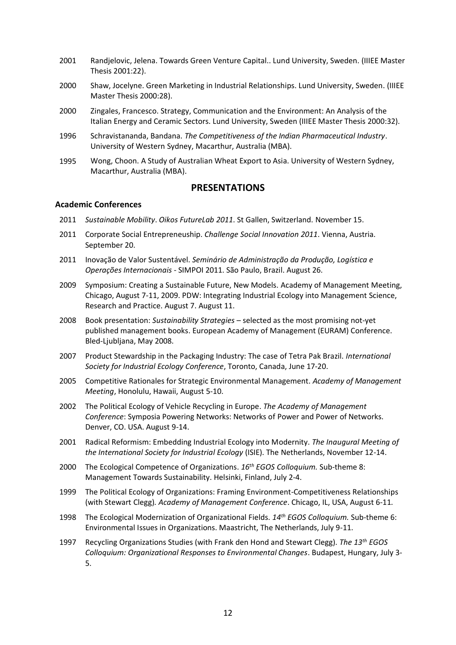- 2001 Randjelovic, Jelena. Towards Green Venture Capital.. Lund University, Sweden. (IIIEE Master Thesis 2001:22).
- 2000 Shaw, Jocelyne. Green Marketing in Industrial Relationships. Lund University, Sweden. (IIIEE Master Thesis 2000:28).
- 2000 Zingales, Francesco. Strategy, Communication and the Environment: An Analysis of the Italian Energy and Ceramic Sectors. Lund University, Sweden (IIIEE Master Thesis 2000:32).
- 1996 Schravistananda, Bandana. *The Competitiveness of the Indian Pharmaceutical Industry*. University of Western Sydney, Macarthur, Australia (MBA).
- 1995 Wong, Choon. A Study of Australian Wheat Export to Asia. University of Western Sydney, Macarthur, Australia (MBA).

### **PRESENTATIONS**

#### **Academic Conferences**

- 2011 *Sustainable Mobility*. *Oikos FutureLab 2011*. St Gallen, Switzerland. November 15.
- 2011 Corporate Social Entrepreneuship. *Challenge Social Innovation 2011*. Vienna, Austria. September 20.
- 2011 Inovação de Valor Sustentável. *Seminário de Administração da Produção, Logística e Operações Internacionais* - SIMPOI 2011. São Paulo, Brazil. August 26.
- 2009 Symposium: Creating a Sustainable Future, New Models. Academy of Management Meeting, Chicago, August 7-11, 2009. PDW: Integrating Industrial Ecology into Management Science, Research and Practice. August 7. August 11.
- 2008 Book presentation: *Sustainability Strategies* selected as the most promising not-yet published management books. European Academy of Management (EURAM) Conference. Bled-Ljubljana, May 2008.
- 2007 Product Stewardship in the Packaging Industry: The case of Tetra Pak Brazil. *International Society for Industrial Ecology Conference*, Toronto, Canada, June 17-20.
- 2005 Competitive Rationales for Strategic Environmental Management. *Academy of Management Meeting*, Honolulu, Hawaii, August 5-10.
- 2002 The Political Ecology of Vehicle Recycling in Europe. *The Academy of Management Conference*: Symposia Powering Networks: Networks of Power and Power of Networks. Denver, CO. USA. August 9-14.
- 2001 Radical Reformism: Embedding Industrial Ecology into Modernity. *The Inaugural Meeting of the International Society for Industrial Ecology* (ISIE). The Netherlands, November 12-14.
- 2000 The Ecological Competence of Organizations. *16th EGOS Colloquium.* Sub-theme 8: Management Towards Sustainability. Helsinki, Finland, July 2-4.
- 1999 The Political Ecology of Organizations: Framing Environment-Competitiveness Relationships (with Stewart Clegg)*. Academy of Management Conference*. Chicago, IL, USA, August 6-11*.*
- 1998 The Ecological Modernization of Organizational Fields. *14th EGOS Colloquium.* Sub-theme 6: Environmental Issues in Organizations. Maastricht, The Netherlands, July 9-11.
- 1997 Recycling Organizations Studies (with Frank den Hond and Stewart Clegg). *The 13th EGOS Colloquium: Organizational Responses to Environmental Changes*. Budapest, Hungary, July 3- 5.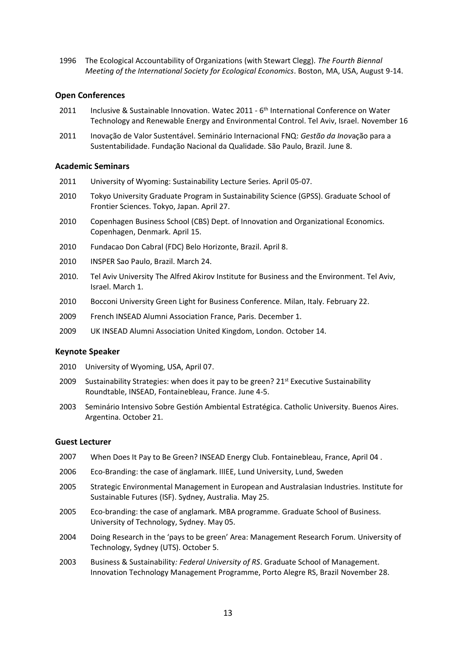1996 The Ecological Accountability of Organizations (with Stewart Clegg). *The Fourth Biennal Meeting of the International Society for Ecological Economics*. Boston, MA, USA, August 9-14.

### **Open Conferences**

- 2011 Inclusive & Sustainable Innovation. Watec 2011 6<sup>th</sup> International Conference on Water Technology and Renewable Energy and Environmental Control. Tel Aviv, Israel. November 16
- 2011 Inovação de Valor Sustentável. Seminário Internacional FNQ: *Gestão da Inov*ação para a Sustentabilidade. Fundação Nacional da Qualidade. São Paulo, Brazil. June 8.

#### **Academic Seminars**

- 2011 University of Wyoming: Sustainability Lecture Series. April 05-07.
- 2010 Tokyo University Graduate Program in Sustainability Science (GPSS). Graduate School of Frontier Sciences. Tokyo, Japan. April 27.
- 2010 Copenhagen Business School (CBS) Dept. of Innovation and Organizational Economics. Copenhagen, Denmark. April 15.
- 2010 Fundacao Don Cabral (FDC) Belo Horizonte, Brazil. April 8.
- 2010 INSPER Sao Paulo, Brazil. March 24.
- 2010. Tel Aviv University The Alfred Akirov Institute for Business and the Environment. Tel Aviv, Israel. March 1.
- 2010 Bocconi University Green Light for Business Conference. Milan, Italy. February 22.
- 2009 French INSEAD Alumni Association France, Paris. December 1.
- 2009 UK INSEAD Alumni Association United Kingdom, London. October 14.

#### **Keynote Speaker**

- 2010 University of Wyoming, USA, April 07.
- 2009 Sustainability Strategies: when does it pay to be green?  $21<sup>st</sup>$  Executive Sustainability Roundtable, INSEAD, Fontainebleau, France. June 4-5.
- 2003 Seminário Intensivo Sobre Gestión Ambiental Estratégica. Catholic University. Buenos Aires. Argentina. October 21.

#### **Guest Lecturer**

- 2007 When Does It Pay to Be Green? INSEAD Energy Club. Fontainebleau, France, April 04 .
- 2006 Eco-Branding: the case of änglamark. IIIEE, Lund University, Lund, Sweden
- 2005 Strategic Environmental Management in European and Australasian Industries. Institute for Sustainable Futures (ISF). Sydney, Australia. May 25.
- 2005 Eco-branding: the case of anglamark. MBA programme. Graduate School of Business. University of Technology, Sydney. May 05.
- 2004 Doing Research in the 'pays to be green' Area: Management Research Forum. University of Technology, Sydney (UTS). October 5.
- 2003 Business & Sustainability*: Federal University of RS*. Graduate School of Management. Innovation Technology Management Programme, Porto Alegre RS, Brazil November 28.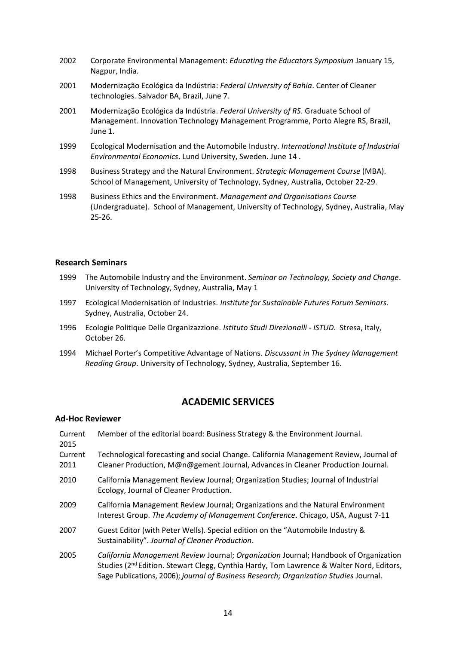- 2002 Corporate Environmental Management: *Educating the Educators Symposium* January 15, Nagpur, India.
- 2001 Modernização Ecológica da Indústria: *Federal University of Bahia*. Center of Cleaner technologies. Salvador BA, Brazil, June 7.
- 2001 Modernização Ecológica da Indústria. *Federal University of RS*. Graduate School of Management. Innovation Technology Management Programme, Porto Alegre RS, Brazil, June 1.
- 1999 Ecological Modernisation and the Automobile Industry. *International Institute of Industrial Environmental Economics*. Lund University, Sweden. June 14 .
- 1998 Business Strategy and the Natural Environment. *Strategic Management Course* (MBA). School of Management, University of Technology, Sydney, Australia, October 22-29.
- 1998 Business Ethics and the Environment. *Management and Organisations Course* (Undergraduate). School of Management, University of Technology, Sydney, Australia, May 25-26.

### **Research Seminars**

- 1999 The Automobile Industry and the Environment. *Seminar on Technology, Society and Change*. University of Technology, Sydney, Australia, May 1
- 1997 Ecological Modernisation of Industries*. Institute for Sustainable Futures Forum Seminars*. Sydney, Australia, October 24.
- 1996 Ecologie Politique Delle Organizazzione. *Istituto Studi Direzionalli - ISTUD*. Stresa, Italy, October 26.
- 1994 Michael Porter's Competitive Advantage of Nations. *Discussant in The Sydney Management Reading Group*. University of Technology, Sydney, Australia, September 16.

### **ACADEMIC SERVICES**

### **Ad-Hoc Reviewer**

| Current<br>2015 | Member of the editorial board: Business Strategy & the Environment Journal.                                                                                                                  |
|-----------------|----------------------------------------------------------------------------------------------------------------------------------------------------------------------------------------------|
| Current<br>2011 | Technological forecasting and social Change. California Management Review, Journal of<br>Cleaner Production, M@n@gement Journal, Advances in Cleaner Production Journal.                     |
| 2010            | California Management Review Journal; Organization Studies; Journal of Industrial<br>Ecology, Journal of Cleaner Production.                                                                 |
| 2009            | California Management Review Journal; Organizations and the Natural Environment<br>Interest Group. The Academy of Management Conference. Chicago, USA, August 7-11                           |
| 2007            | Guest Editor (with Peter Wells). Special edition on the "Automobile Industry &<br>Sustainability". Journal of Cleaner Production.                                                            |
| 2005            | California Management Review Journal; Organization Journal; Handbook of Organization<br>Studies (2 <sup>nd</sup> Edition. Stewart Clegg, Cynthia Hardy, Tom Lawrence & Walter Nord, Editors, |

Sage Publications, 2006); *journal of Business Research; Organization Studies* Journal.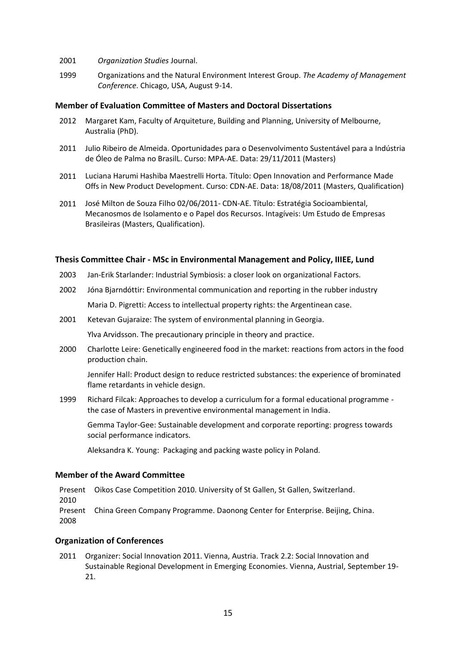- 2001 *Organization Studies* Journal.
- 1999 Organizations and the Natural Environment Interest Group. *The Academy of Management Conference*. Chicago, USA, August 9-14.

#### **Member of Evaluation Committee of Masters and Doctoral Dissertations**

- 2012 Margaret Kam, Faculty of Arquiteture, Building and Planning, University of Melbourne, Australia (PhD).
- 2011 Julio Ribeiro de Almeida. Oportunidades para o Desenvolvimento Sustentável para a Indústria de Óleo de Palma no BrasilL. Curso: MPA-AE. Data: 29/11/2011 (Masters)
- 2011 Luciana Harumi Hashiba Maestrelli Horta. Título: Open Innovation and Performance Made Offs in New Product Development. Curso: CDN-AE. Data: 18/08/2011 (Masters, Qualification)
- 2011 José Milton de Souza Filho 02/06/2011- CDN-AE. Título: Estratégia Socioambiental, Mecanosmos de Isolamento e o Papel dos Recursos. Intagíveis: Um Estudo de Empresas Brasileiras (Masters, Qualification).

#### **Thesis Committee Chair - MSc in Environmental Management and Policy, IIIEE, Lund**

- 2003 Jan-Erik Starlander: Industrial Symbiosis: a closer look on organizational Factors.
- 2002 Jóna Bjarndóttir: Environmental communication and reporting in the rubber industry Maria D. Pigretti: Access to intellectual property rights: the Argentinean case.
- 2001 Ketevan Gujaraize: The system of environmental planning in Georgia.

Ylva Arvidsson. The precautionary principle in theory and practice.

2000 Charlotte Leire: Genetically engineered food in the market: reactions from actors in the food production chain.

Jennifer Hall: Product design to reduce restricted substances: the experience of brominated flame retardants in vehicle design.

1999 Richard Filcak: Approaches to develop a curriculum for a formal educational programme the case of Masters in preventive environmental management in India.

Gemma Taylor-Gee: Sustainable development and corporate reporting: progress towards social performance indicators.

Aleksandra K. Young: Packaging and packing waste policy in Poland.

#### **Member of the Award Committee**

Present Oikos Case Competition 2010. University of St Gallen, St Gallen, Switzerland. 2010 Present China Green Company Programme. Daonong Center for Enterprise. Beijing, China. 2008

#### **Organization of Conferences**

2011 Organizer: Social Innovation 2011. Vienna, Austria. Track 2.2: Social Innovation and Sustainable Regional Development in Emerging Economies. Vienna, Austrial, September 19- 21.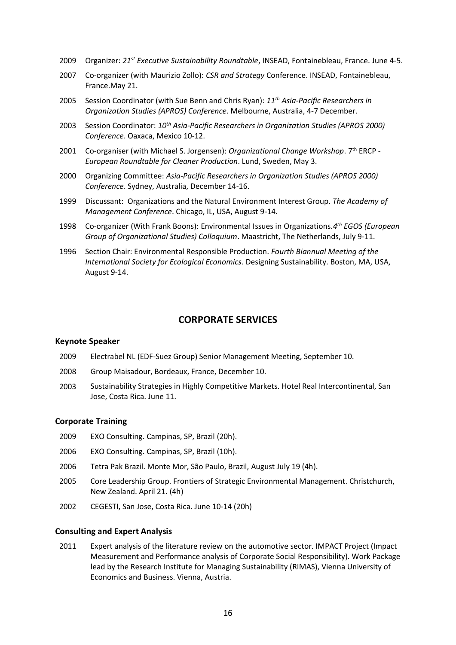- 2009 Organizer: *21st Executive Sustainability Roundtable*, INSEAD, Fontainebleau, France. June 4-5.
- 2007 Co-organizer (with Maurizio Zollo): *CSR and Strategy* Conference. INSEAD, Fontainebleau, France.May 21.
- 2005 Session Coordinator (with Sue Benn and Chris Ryan): *11th Asia-Pacific Researchers in Organization Studies (APROS) Conference*. Melbourne, Australia, 4-7 December.
- 2003 Session Coordinator: *10th Asia-Pacific Researchers in Organization Studies (APROS 2000) Conference*. Oaxaca, Mexico 10-12.
- 2001 Co-organiser (with Michael S. Jorgensen): *Organizational Change Workshop*. 7th ERCP *European Roundtable for Cleaner Production*. Lund, Sweden, May 3.
- 2000 Organizing Committee: *Asia-Pacific Researchers in Organization Studies (APROS 2000) Conference*. Sydney, Australia, December 14-16.
- 1999 Discussant: Organizations and the Natural Environment Interest Group. *The Academy of Management Conference*. Chicago, IL, USA, August 9-14.
- 1998 Co-organizer (With Frank Boons): Environmental Issues in Organizations.*4 th EGOS (European Group of Organizational Studies) Colloquium*. Maastricht, The Netherlands, July 9-11.
- 1996 Section Chair: Environmental Responsible Production. *Fourth Biannual Meeting of the International Society for Ecological Economics*. Designing Sustainability. Boston, MA, USA, August 9-14.

### **CORPORATE SERVICES**

### **Keynote Speaker**

- 2009 Electrabel NL (EDF-Suez Group) Senior Management Meeting, September 10.
- 2008 Group Maisadour, Bordeaux, France, December 10.
- 2003 Sustainability Strategies in Highly Competitive Markets. Hotel Real Intercontinental, San Jose, Costa Rica. June 11.

### **Corporate Training**

- 2009 EXO Consulting. Campinas, SP, Brazil (20h).
- 2006 EXO Consulting. Campinas, SP, Brazil (10h).
- 2006 Tetra Pak Brazil. Monte Mor, São Paulo, Brazil, August July 19 (4h).
- 2005 Core Leadership Group. Frontiers of Strategic Environmental Management. Christchurch, New Zealand. April 21. (4h)
- 2002 CEGESTI, San Jose, Costa Rica. June 10-14 (20h)

### **Consulting and Expert Analysis**

2011 Expert analysis of the literature review on the automotive sector. IMPACT Project (Impact Measurement and Performance analysis of Corporate Social Responsibility). Work Package lead by the Research Institute for Managing Sustainability (RIMAS), Vienna University of Economics and Business. Vienna, Austria.